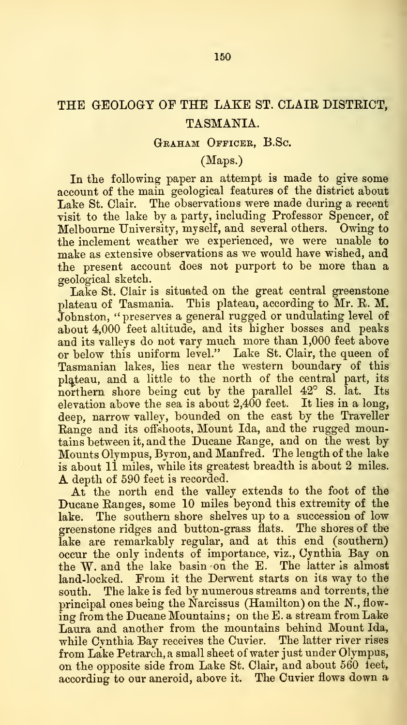# THE GEOLOGY OF THE LAKE ST. CLAIR DISTRICT, TASMANIA.

## GRAHAM OFFICER, B.Sc.

## (Maps.)

In fhe following paper an attempt is made to give some account of the main geological features of the district about Lake St. Clair. The observations were made during a recent visit to the lake by a party, including Professor Spencer, of Melbourne University, myself, and several others. Owing to the inclement weather we experienced, we were unable to make as extensive observations as we would have wished, and the present account does not purport to be more than a geological sketch.

Lake St. Clair is situated on the great central greenstone plateau of Tasmania. This plateau, according to Mr. R. M. Johnston, "preserves a general rugged or undulating level of about 4,000 feet altitude, and its higher bosses and peaks and its valleys do not vary much more than 1,000 feet above or below this uniform level." Lake St. Clair, the queen of Tasmanian lakes, lies near the western boundary of this plateau, and a little to the north of the central part, its northern shore being cut by the parallel 42° S. lat. Its elevation above the sea is about 2,400 feet. It lies in a long, deep, narrow valley, bounded on the east by the Traveller Range and its offshoots, Mount Ida, and the rugged mountains between it, and the Ducane Range, and on the west by Mounts Olympus, Byron, and Manfred. The length of the lake

A depth of 590 feet is recorded.<br>At the north end the valley extends to the foot of the Ducane Ranges, some 10 miles beyond this extremity of the lake. The southern shore shelves up to a succession of low greenstone ridges and button-grass flats. The shores of the lake are remarkably regular, and at this end (southern) occur the only indents of importance, viz., Cynthia Bay on the W. and the lake basin on the E. The latter is almost land-locked. From it the Derwent starts on its way to the south. The lake is fed by numerous streams and torrents, the principal ones being the Narcissus (Hamilton) on the N., flow ing from the Ducane Mountains ; on the E. a stream from Lake Laura and another from the mountains behind Mount Ida, while Cynthia Bay receives the Cuvier. The latter river rises from Lake Petrarch, a small sheet of water just under Olympus, on the opposite side from Lake St. Clair, and about 560 leet, according to our aneroid, above it. The Cuvier flows down a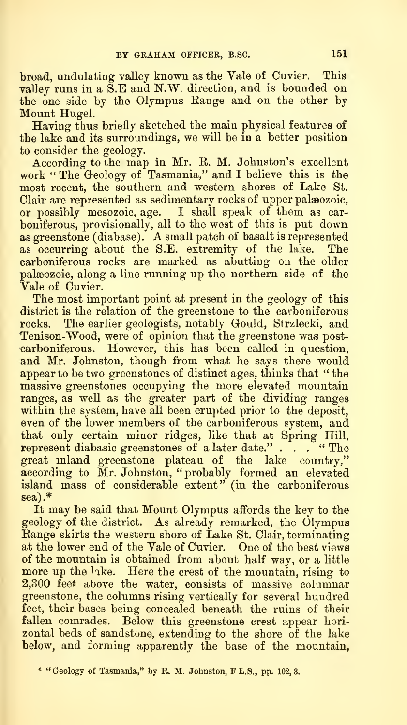broad, undulating valley known as the Vale of Cuvier. This valley runs in a S.E and N.W. direction, and is bounded on the one side by the Olympus Eange and on the other by Mount Hugel.

Having thus briefly sketched the main physical features of the lake and its surroundings, we will be in a better position to consider the geology.

According to the map in Mr. E. M. Johnston's excellent work '\* The Geology of Tasmania," and I believe this is the most recent, the southern and western shores of Lake St. Clair are represented as sedimentary rocks of upper palsozoic, or possibly mesozoic, age. I shall speak of them as car boniferous, provisionally, all to the west of this is put down as greenstone (diabase). A small patch of basalt is represented as occurring about the S.E. extremity of the lake. The carboniferous rocks are marked as abutting on the older palaeozoic, along a line running up the northern side of the Vale of Cuvier.

The most important point at present in the geology of this district is the relation of the greenstone to the carboniferous rocks. The earlier geologists, notably Gould, Strzlecki, and Tenison-Wood, were of opinion that the greenstone was postcarboniferous. However, this has been called in question, and Mr. Johnston, though from what he says there would appear to be two greenstones of distinct ages, thinks that " the massive greenstones occupying the more elevated mountain ranges, as well as the greater part of the dividing ranges within the system, have all been erupted prior to the deposit, even of the lower members of the carboniferous system, and that only certain minor ridges, like that at Spring Hill, represent diabasic greenstones of a later date." . . . "The great inland greenstone plateau of the lake country," according to Mr. Johnston, "probably formed an elevated island mass of considerable extent" (in the carboniferous sea).\*

It may be said that Mount Olympus affords the key to the geology of the district. As already remarked, the Olympus Range skirts the western shore of Lake St. Clair, terminating at the lower end of the Vale of Cuvier. One of the best views of the mountain is obtained from about half way, or a little more up the <sup>1</sup>ake. Here the crest of the mountain, rising to 2,300 feet above the water, consists of massive columnar greenstone, the columns rising vertically for several hundred feet, their bases being concealed beneath the ruins of their fallen comrades. Below this greenstone crest appear horizontal beds of sandstone, extending to the shore of the lake below, and forming apparently the base of the mountain,

<sup>\*</sup> "Geology of Tasmania," by R. M. Johnston, F L.S., pp. 102,3.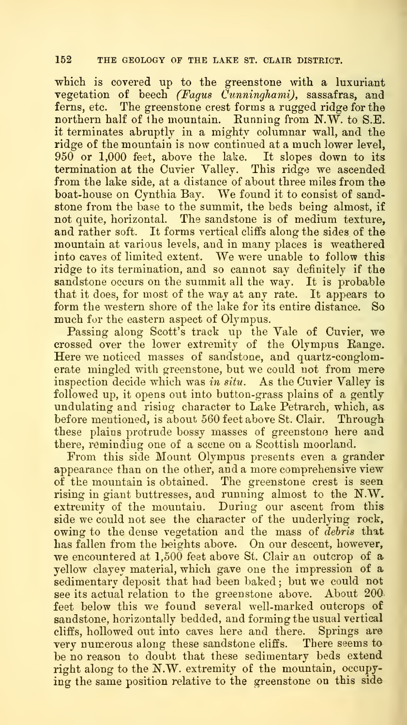#### 152 THE GEOLOGY OF THE LAKE ST. GLAIR DISTRICT.

which is covered up to the greenstone with a luxuriant vegetation of beech (Fagus Cunninghami), sassafras, and ferns, etc. The greenstone crest forms a rugged ridge for the northern half of the mountain. Running from N.W. to S.E. it terminates abruptly in a mightv columnar wall, and the ridge of the mountain is now continued at <sup>a</sup> much lower level, 950 or 1,000 feet, above the lake. It slopes down to its termination at the Cuvier Valley. This ridge we ascended from the lake side, at a distance of about three miles from the boat-house on Cynthia Bay. We found it to consist of sandstone from the base to the summit, the beds being almost, if not quite, horizontal. The sandstone is of medium texture, and rather soft. It forms vertical cliffs along the sides of the mountain at various levels, and in many places is weathered into caves of limited extent. We were unable to follow this ridge to its termination, and so cannot say definitely if the sandstone occurs on the summit all the way. It is probable that it does, for most of the way at any rate. It appears to form the western shore of the lake for its entire distance. much for the eastern aspect of Olympus.

Passing along Scott's track up the Yale of Cuvier, we crossed over the lower extremity of the Olympus Range. Here we noticed masses of sandstone, and quartz-conglomerate mingled with greenstone, but we could not from mere inspection decide which was in situ. As the Cuvier Valley is followed up, it opens out into button-grass plains of a gently undulating and rising character to Lake Petrarch, which, as before mentioned, is about 560 feet above St. Clair. Through these plains protrude bossy masses of greenstone here and there, reminding one of a scene on a Scottish moorland.

From this side Mount Olympus presents even a grander appearance than on the other, and a more comprehensive view of the mountain is obtained. The greenstone crest is seen rising in giant buttresses, and running almost to the N.W. extremity of the mountain. During our ascent from this side we could not see the character of the underlying rock, owing to the dense vegetation and the mass of debris that has fallen from the heights above. On our descent, however, we encountered at  $1,500$  feet above St. Clair an outcrop of a yellow clayey material, which gave one the impression of a» sedimentary deposit that had been baked; but we could not see its actual relation to the greenstone above. About 200 feet below this we found several well-marked outcrops of sandstone, horizontally bedded, and forming the usual vertical cliffs, hollowed out into caves here and there. Springs are very numerous along these sandstone cliffs. There seems to be no reason to doubt that these sedimentary beds extend right along to the N.W. extremity of the mountain, occupy ing the same position relative to the greenstone on this side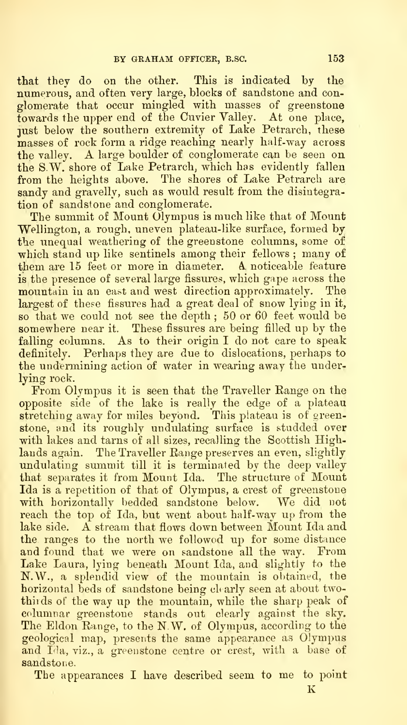that they do on the other. This is indicated by the numerous, and often very large, blocks of sandstone and con glomerate that occur mingled with masses of greenstone towards the upper end of the Cuvier Valley. At one place, just below the southern extremity of Lake Petrarch, these masses of rock form a ridge reaching nearly half-way across the valley. A large boulder of conglomerate can be seen on the S.W. shore of Lake Petrarch, which has evidently fallen from the heights above. The shores of Lake Petrarch are sandy and gravelly, such as would result from the disintegration of sandstone and conglomerate.

The summit of Mount Olympus is much like that of Mount Wellington, a rough, uneven plateau-like surface, formed by the unequal weathering of the greenstone columns, some of which stand up like sentinels among their fellows; many of them are 15 feet or more in diameter. A noticeable feature is the presence of several large fissures, which gape across the mountain in an east and west direction approximately. The largest of these fissures had a great deal of snow lying in it, so that we could not see the depth ; 50 or 60 feet would be somewhere near it. These fissures are being filled up by the falling columns. As to their origin I do not care to speak definitely. Perhaps they are due to dislocations, perhaps to the undermining action of water in wearing away the underlying rock.

From Olympus it is seen that the Traveller Eange on the opposite side of the lake is really the edge of a plateau stretching away for miles beyond. This plateau is of greenstone, and its roughly undulating surface is studded over with lakes and tarns of all sizes, recalling the Scottish Highlauds again. The Traveller Range preserves an even, slightly undulating summit till it is terminated by the deep valley that separates it from Mount Ida. The structure of Mount Ida is a repetition of that of Olympus, a crest of greenstone with horizontally bedded sandstone below. We did not reach the top of Ida, but went about half-way up from the lake side. A stream that flows down between Mount Ida and the ranges to the north we followed up for some distance and found that we were on sandstone all the way. From Lake Laura, lying beneath Mount Ida, and slightly to the N.W., a splendid view of the mountain is obtained, the horizontal beds of sandstone being clearly seen at about twothirds of the way up the mountain, while the sharp peak of columnar greenstone stands out clearly against the sky. The Eldon Range, to the N.W. of Olympus, according to the geological map, presents the same appearance as Olympus and Ida, viz., a greenstone centre or crest, with a base of sandstone.

The appearances I have described seem to me to point

 $_{\rm K}$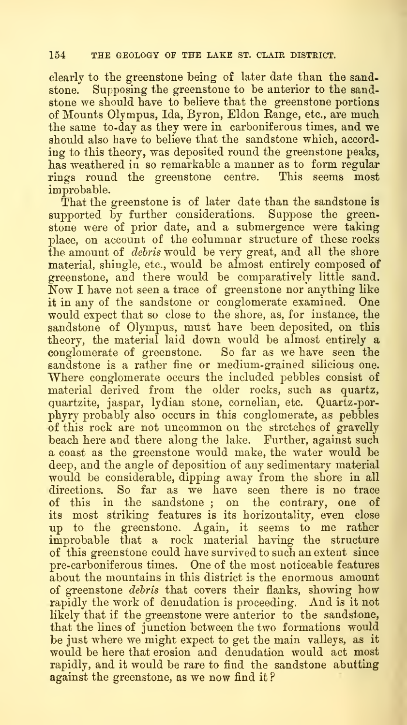clearly to the greenstone being of later date than the sandstone. Supposing the greenstone to be anterior to the sandstone we should have to believe that the greenstone portions of Mounts Olympus, Ida, Byron, Eldon Eange, etc., are much the same to-day as they were in carboniferous times, and we should also have to believe that the sandstone which, accord ing to this theory, was deposited round the greenstone peaks, has weathered in so remarkable a manner as to form regular rings round the greenstone centre. This seems most improbable.

That the greenstone is of later date than the sandstone is supported by further considerations. Suppose the greenstone were of prior date, and a submergence were taking place, on account of the columnar structure of these rocks the amount of *debris* would be very great, and all the shore material, shingle, etc., would be almost entirely composed of greenstone, and there would be comparatively little sand. Now <sup>I</sup> have not seen <sup>a</sup> trace of greenstone nor anything like it in any of the sandstone or conglomerate examined. One would expect that so close to the shore, as, for instance, the sandstone of Olympus, must have been deposited, on this theory, the material laid down would be almost entirely a conglomerate of greenstone. So far as we have seen the sandstone is a rather fine or medium-grained silicious one. Where conglomerate occurs the included pebbles consist of material derived from the older rocks, such as quartz, quartzite, jaspar, lydian stone, cornelian, etc. Quartz-porphyry probably also occurs in this conglomerate, as pebbles of this rock are not uncommon on the stretches of gravelly beach here and there along the lake. Further, against such a coast as the greenstone would make, the water would be deep, and the angle of deposition of any sedimentary material would be considerable, dipping away from the shore in all directions. So far as we have seen there is no trace of this in the sandstone ; on the contrary, one of its most striking features is its horizontality, even close up to the greenstone. Again, it seems to me rather improbable that a rock material having the structure of this greenstone could have survived to such an extent since pre-carboniferous times. One of the most noticeable features about the mountains in this district is the enormous amount of greenstone debris that covers their flanks, showing how rapidly the work of denudation is proceeding. And is it not likely that if the greenstone were anterior to the sandstone, that the lines of junction between the two formations would be just where we might expect to get the main valleys, as it would be here that erosion and denudation would act most rapidly, and it would be rare to find the sandstone abutting against the greenstone, as we now find it ?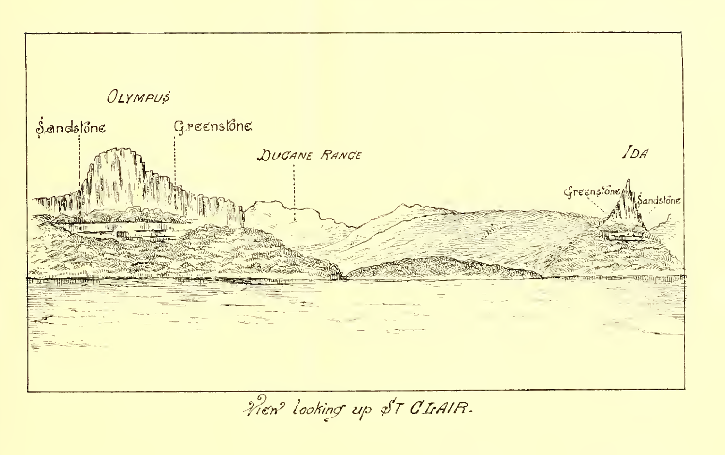

Ren looking up &T CIAIR.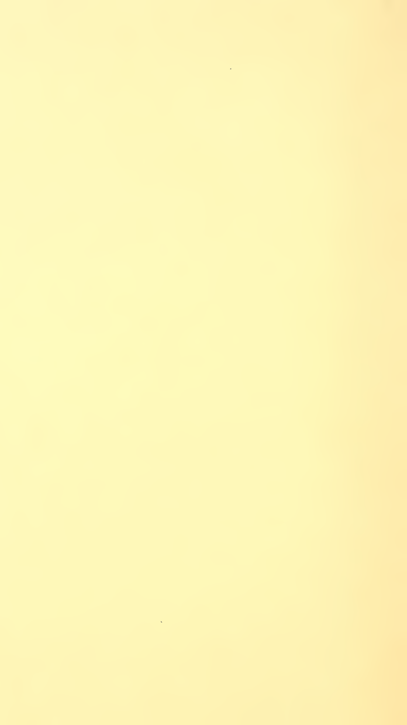$\label{eq:2} \mathcal{L} = \mathcal{L} \left( \mathcal{L} \right) \mathcal{L} \left( \mathcal{L} \right)$ 

 $\mathcal{L}_{\text{max}}$  ,  $\mathcal{L}_{\text{max}}$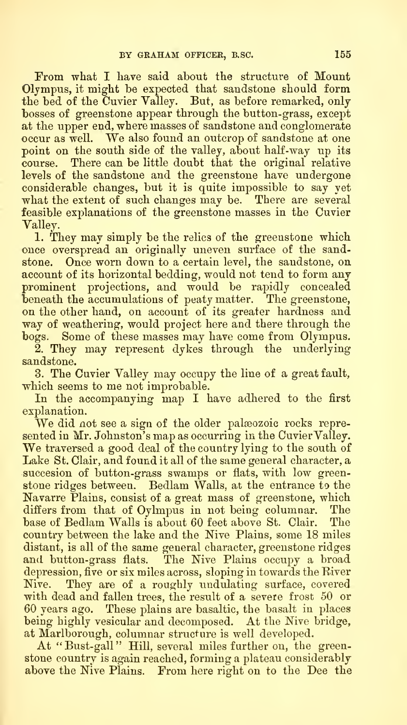From what I have said about the structure of Mount Oljmpus, it might be expected that sandstone should form the bed of the Cuvier Valley. But, as before remarked, onlybosses of greenstone appear through the button-grass, except at the upper end, where masses of sandstone and conglomerate occur as well. We also found an outcrop of sandstone at one point on the south side of the valley, about half-way up its course. There can be little doubt that the original relative levels of the sandstone and the greenstone have undergone considerable changes, but it is quite impossible to say yet what the extent of such changes may be. There are several feasible explanations of the greenstone masses in the Cuvier Valley.

1. They may simply be the relics of the greenstone which once overspread an originally uneven surface of the sandstone. Once worn down to a certain level, the sandstone, on account of its horizontal bedding, would not tend to form any prominent projections, and would be rapidly concealed beneath the accumulations of peaty matter. The greenstone, on the other hand, on account of its greater hardness and way of weathering, would project here and there through the bogs. Some of these masses may have come from Olympus.

2. They may represent dykes through the underlying sandstone.

3. The Cuvier Valley may occupy the line of a great fault, which seems to me not improbable.

In the accompanying map I have adhered to the first explanation.

We did not see a sign of the older palæozoic rocks represented in Mr. Johnston's map as occurring in the Cuvier Valley. We traversed <sup>a</sup> good deal of the country lying to the south of Lake St. Clair, and found it all of the same general character, a succesion of button-grass swamps or flats, with low greenstone ridges between. Bedlam Walls, at the entrance to the Navarre Plains, consist of a great mass of greenstone, which differs from that of Oylmpus in not being columnar. The base of Bedlam Walls is about 60 feet above St. Clair. The country between the lake and the Nive Plains, some 18 miles distant, is all of the same general character, greenstone ridges and button-grass flats. The Nive Plains occupy a broad depression, five or six miles across, sloping in towards the River Nive. They are of a roughly undulating surface, covered with dead and fallen trees, the result of a severe frost 50 or 60 years ago. These plains are basaltic, the basalt in places being highly vesicular and decomposed. At the Nive bridge, at Marlborough, columnar structure is well developed.

At " Bust-gall " Hill, several miles further on, the greenstone country is again reached, forming a plateau considerably above the Nive Plains. From here right on to the Dee the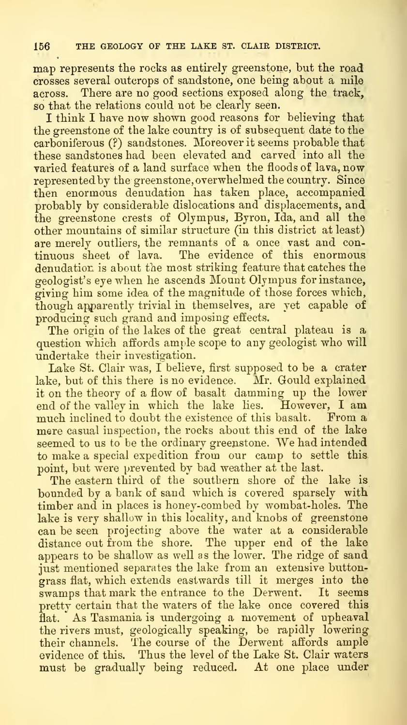map represents the rocks as entirely greenstone, but the road crosses several outcrops of sandstone, one being about a mile across. There are no good sections exposed along the track, so that the relations could not be clearly seen.

I think I have now shown good reasons for believing that the greenstone of the lake country is of subsequent date to the carboniferous (?) sandstones. Moreover it seems probable that these sandstones had been elevated and carved into all the varied features of a land surface when the floods of lava, now represented by the greenstone, overwhelmed the country. Since then enormous denudation has taken place, accompanied probably by considerable dislocations and displacements, and the greenstone crests of Olympus, Byron, Ida, and all the other mountains of similar structure (in this district at least) are merely outliers, the remnants of a once vast and con tinuous sheet of lava. The evidence of this enormous denudation is about the most striking feature that catches the geologist's eye when he ascends Mount Olympus for instance, giving him some idea of the magnitude of those forces which, though apparently trivial in themselves, are yet capable of producing such grand and imposing effects.

The origin of the lakes of the great central plateau is a question which affords ample scope to any geologist who will undertake their investigation.

Lake St. Clair was, I believe, first supposed to be a crater lake, but of this there is no evidence. Mr. Gould explained it on the theory of a flow of basalt damming up the lower end of the valley in which the lake lies. However, <sup>I</sup> am much inclined to doubt the existence of this basalt. From a mere casual inspection, the rocks about this end of the lake seemed to us to be the ordinary greenstone. We had intended to make a special expedition from our camp to settle this point, but were prevented by bad weather at the last.

The eastern third of the southern shore of the lake is bounded by a bank of sand which is covered sparsely with timber and in places is honey-combed by wombat-holes. The lake is very shallow in this locality, and knobs of greenstone can be seen projecting above the water at a considerable distance out from the shore. The upper end of the lake appears to be shallow as well as the lower. The ridge of sand just mentioned separates the lake from an extensive buttongrass flat, which extends eastwards till it merges into the swamps that mark the entrance to the Derwent. It seems pretty certain that the waters of the lake once covered this flat. As Tasmania is undergoing a movement of upheaval the rivers must, geologically speaking, be rapidly lowering their channels. The course of the Derwent affords ample evidence of this. Thus the level of the Lake St. Clair waters must be gradually being reduced. At one place under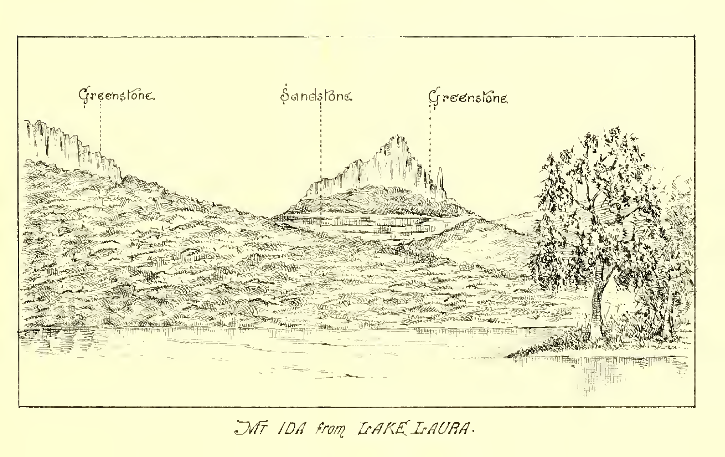

MT IDA from ICAKE IAURA.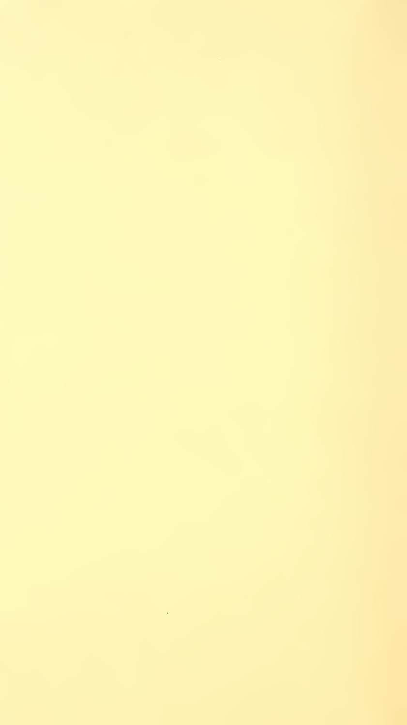$\mathcal{L}^{\text{max}}_{\text{max}}$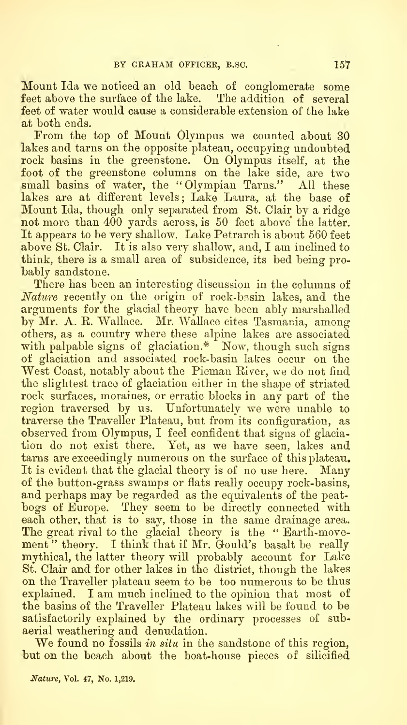Mount Ida we noticed an old beach of conglomerate some feet above the surface of the lake. The addition of several feet of water would cause a considerable extension of the lake at both ends.

From the top of Mount Olympus we counted about 30 lakes and tarns on the opposite plateau, occupying undoubted rock basins in the greenstone. On Olympus itself, at the foot of the greenstone columns on the lake side, are two small basins of water, the "Olympian Tarns." All these lakes are at different levels; Lake Laura, at the base of Mount Ida, though only separated from St. Clair by a ridge not more than 400 yards across, is 50 feet above the latter. It appears to be very shallow. Lake Petrarch is about 560 feet above St. Clair. It is also very shallow, and, I am inclined to think, there is a small area of subsidence, its bed being pro bably sandstone.

There has been an interesting discussion in the columns of Nature recently on the origin of rock-basin lakes, and the arguments for the glacial theory have been ably marshalled by Mr. A. R. Wallace. Mr. Wallace cites Tasmania, among others, as a country where these alpine lakes are associated with palpable signs of glaciation.\* Now, though such signs of glaciation and associated rock-basin lalres occur on the West Coast, notably about the Pieman River, we do not find the slightest trace of glaciation either in the shape of striated rock surfaces, moraines, or erratic blocks in any part of the region traversed by us. Unfortunately we were unable to traverse the Traveller Plateau, but from its configuration, as observed from Olympus, I feel confident that signs of glacia tion do not exist there. Yet, as we have seen, lakes and tarns are exceedingly numerous on the surface of this plateau. It is evident that the glacial theory is of no use here. Many of the button-grass swamps or flats really occupy rock-basins, and perhaps may be regarded as the equivalents of the peatbogs of Europe. They seem to be directly connected with each other, that is to say, those in the same drainage area. The great rival to the glacial theory is the "Earth-movement" theory. I think that if Mr. Gould's basalt be really mythical, the latter theory will probably account for Lake St. Clair and for other lakes in the district, though the lakes on the Traveller plateau seem to be too numerous to be thus explained. I am much inclined to the opinion that most of the basins of the Traveller Plateau lakes will be found to be satisfactorily explained by the ordinary processes of subaerial weathering and denudation.

We found no fossils in situ in the sandstone of this region, but on the beach about the boat-house pieces of silicified

Nature, Vol. 47, No. 1,219.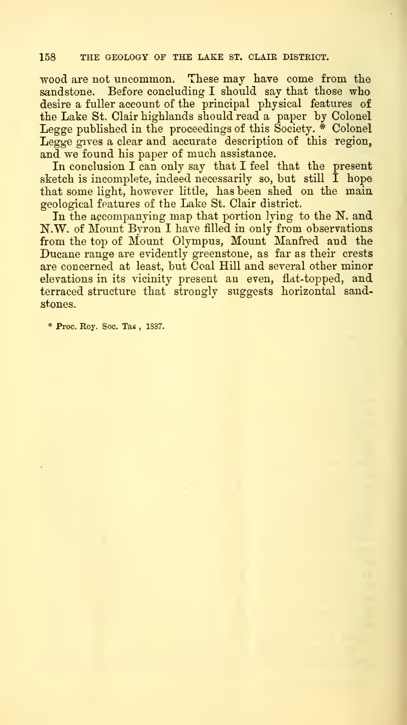#### 158 THE GEOLOGY OF THE LAKE ST. CLAIK DISTRICT.

wood are not uncommon. These may have come from the sandstone. Before concluding I should say that those who desire a fuller account of the principal physical features of the Lake St. Clair highlands should read a paper by Colonel Legge published in the proceedings of this Society. \* Colonel Legge gives a clear and accurate description of this region, and we found his paper of much assistance.

In conclusion I can only say that I feel that the present sketch is incomplete, indeed necessarily so, but still  $I$  hope that some light, however little, has been shed on the main geological features of the Lake St. Clair district.

In the accompanying map that portion lying to the N. and N.W. of Mount Byron <sup>I</sup> have filled in only from observations from the top of Mount Olympus, Mount Manfred and the Ducane range are evidently greenstone, as far as their crests are concerned at least, but Coal Hill and several other minor elevations in its vicinity present an even, flat-topped, and terraced structure that strongly suggests horizontal sandstones.

\* Proc. Roy. Soc. Tas , 1887.